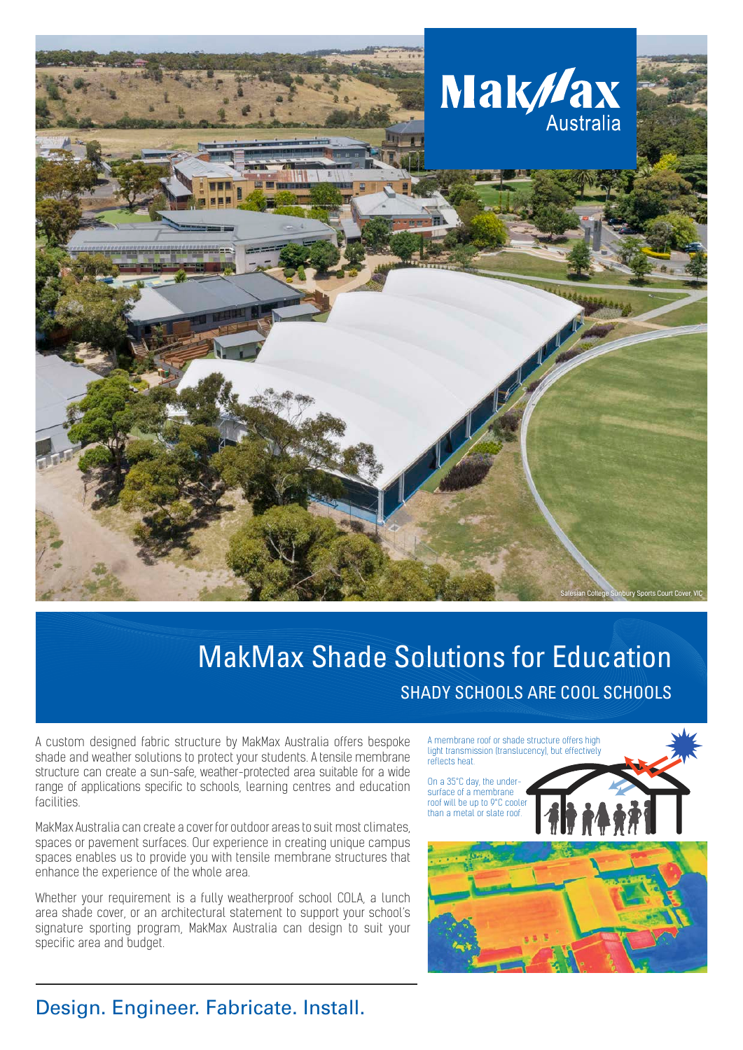

## MakMax Shade Solutions for Education SHADY SCHOOLS ARE COOL SCHOOLS

A custom designed fabric structure by MakMax Australia offers bespoke shade and weather solutions to protect your students. A tensile membrane structure can create a sun-safe, weather-protected area suitable for a wide range of applications specific to schools, learning centres and education **facilities** 

MakMax Australia can create a cover for outdoor areas to suit most climates, spaces or pavement surfaces. Our experience in creating unique campus spaces enables us to provide you with tensile membrane structures that enhance the experience of the whole area.

Whether your requirement is a fully weatherproof school COLA, a lunch area shade cover, or an architectural statement to support your school's signature sporting program, MakMax Australia can design to suit your specific area and budget.

A membrane roof or shade structure offers high light transmission (translucency), but effectively reflects heat.

On a 35°C day, the undersurface of a membrane roof will be up to 9°C cooler than a metal or slate roof.



## Design. Engineer. Fabricate. Install.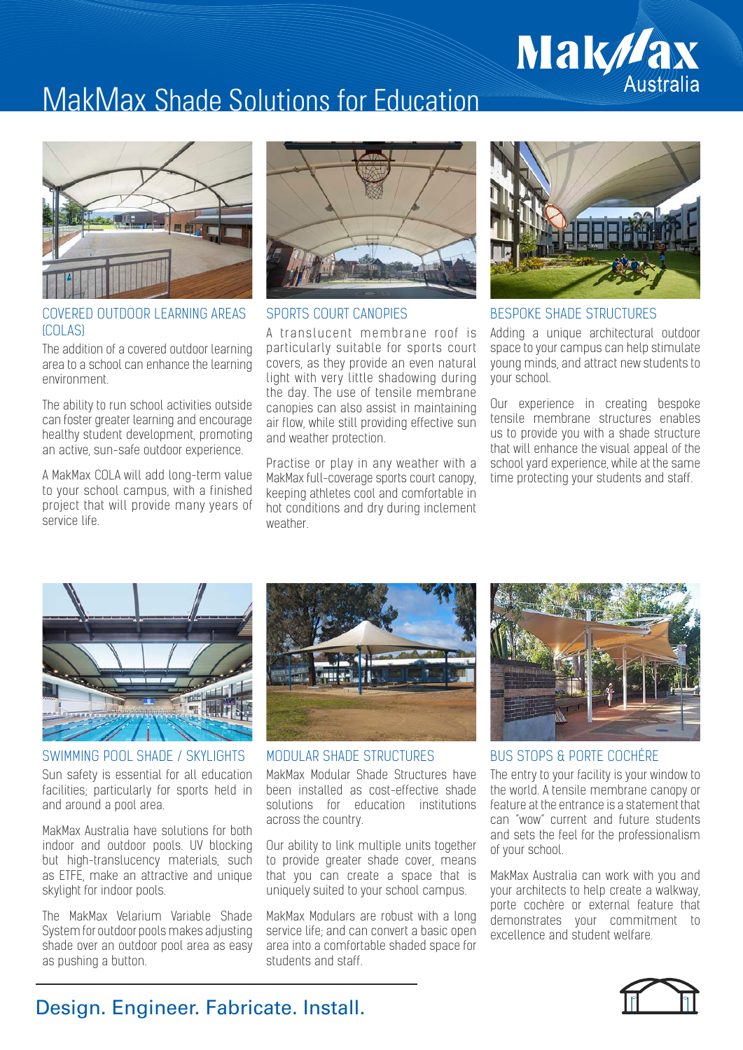# **Mak//ax**<br>Australia

## MakMax Shade Solutions for Education



### COVERED OUTDOOR LEARNING AREAS (COLAS)

The addition of a covered outdoor learning area to a school can enhance the learning environment.

The ability to run school activities outside can foster greater learning and encourage healthy student development, promoting an active, sun-safe outdoor experience.

A MakMax COLA will add long-term value to your school campus, with a finished project that will provide many years of service life.



### SPORTS COURT CANOPIES

A translucent membrane roof is particularly suitable for sports court covers, as they provide an even natural light with very little shadowing during the day. The use of tensile membrane canopies can also assist in maintaining air flow, while still providing effective sun and weather protection.

Practise or play in any weather with a MakMax full-coverage sports court canopy, keeping athletes cool and comfortable in hot conditions and dry during inclement weather.



### BESPOKE SHADE STRUCTURES

Adding a unique architectural outdoor space to your campus can help stimulate young minds, and attract new students to your school.

Our experience in creating bespoke tensile membrane structures enables us to provide you with a shade structure that will enhance the visual appeal of the school yard experience, while at the same time protecting your students and staff.



SWIMMING POOL SHADE / SKYLIGHTS Sun safety is essential for all education facilities; particularly for sports held in and around a pool area.

MakMax Australia have solutions for both indoor and outdoor pools. UV blocking but high-translucency materials, such as ETFE, make an attractive and unique skylight for indoor pools.

The MakMax Velarium Variable Shade System for outdoor pools makes adjusting shade over an outdoor pool area as easy as pushing a button.



MODULAR SHADE STRUCTURES

MakMax Modular Shade Structures have been installed as cost-effective shade solutions for education institutions across the country.

Our ability to link multiple units together to provide greater shade cover, means that you can create a space that is uniquely suited to your school campus.

MakMax Modulars are robust with a long service life; and can convert a basic open area into a comfortable shaded space for students and staff.



BUS STOPS & PORTE COCHÈRE

The entry to your facility is your window to the world. A tensile membrane canopy or feature at the entrance is a statement that can "wow" current and future students and sets the feel for the professionalism of your school.

MakMax Australia can work with you and your architects to help create a walkway, porte cochère or external feature that demonstrates your commitment to excellence and student welfare.



## Design. Engineer. Fabricate. Install.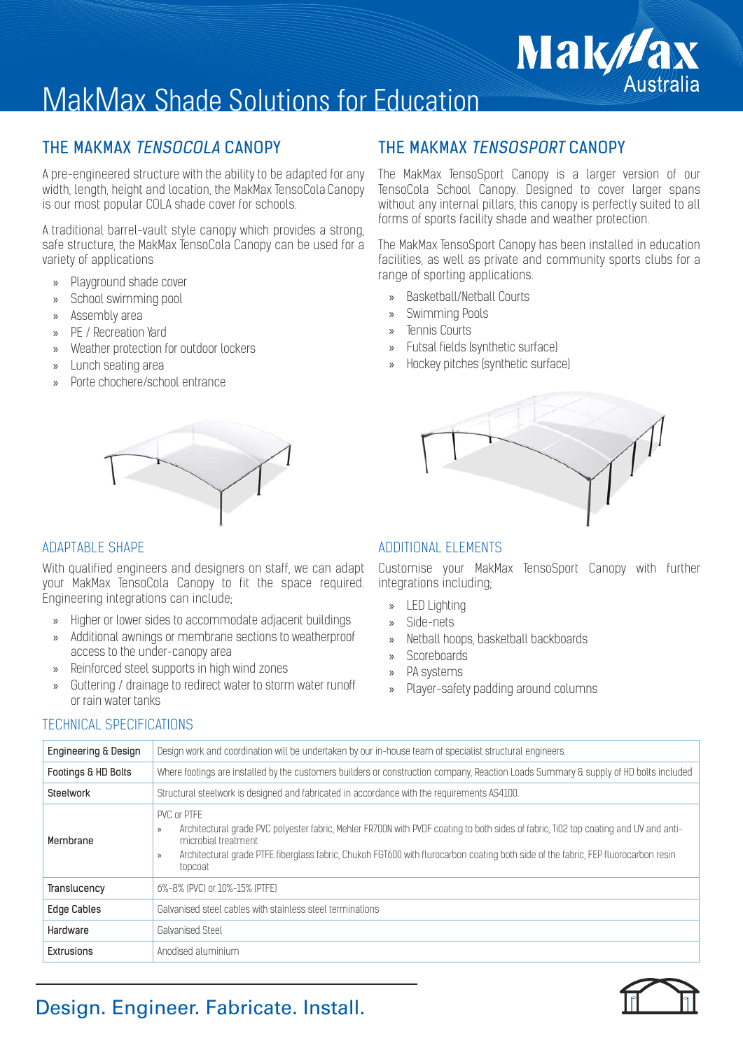## MakMax Shade Solutions for Education

A pre-engineered structure with the ability to be adapted for any width, length, height and location, the MakMax TensoCola Canopy is our most popular COLA shade cover for schools.

A traditional barrel-vault style canopy which provides a strong, safe structure, the MakMax TensoCola Canopy can be used for a variety of applications

- » Playground shade cover
- » School swimming pool
- » Assembly area
- PE / Recreation Yard
- » Weather protection for outdoor lockers
- » Lunch seating area
- » Porte chochere/school entrance

With qualified engineers and designers on staff, we can adapt your MakMax TensoCola Canopy to fit the space required. Engineering integrations can include;

- » Higher or lower sides to accommodate adjacent buildings
- » Additional awnings or membrane sections to weatherproof access to the under-canopy area
- » Reinforced steel supports in high wind zones
- » Guttering / drainage to redirect water to storm water runoff or rain water tanks

## THE MAKMAX TENSOCOLA CANOPY THE MAKMAX TENSOSPORT CANOPY

The MakMax TensoSport Canopy is a larger version of our TensoCola School Canopy. Designed to cover larger spans without any internal pillars, this canopy is perfectly suited to all forms of sports facility shade and weather protection.

**Mak//a** 

Australia

The MakMax TensoSport Canopy has been installed in education facilities, as well as private and community sports clubs for a range of sporting applications.

- » Basketball/Netball Courts
- » Swimming Pools
- » Tennis Courts
- » Futsal fields (synthetic surface)
- » Hockey pitches (synthetic surface)



### ADAPTABLE SHAPE ADDITIONAL ELEMENTS

Customise your MakMax TensoSport Canopy with further integrations including;

- » LED Lighting
- Side-nets
- » Netball hoops, basketball backboards
- » Scoreboards
- » PA systems
- » Player-safety padding around columns

## TECHNICAL SPECIFICATIONS

| Engineering & Design | Design work and coordination will be undertaken by our in-house team of specialist structural engineers.                                                                                                                                                                                                                                                  |
|----------------------|-----------------------------------------------------------------------------------------------------------------------------------------------------------------------------------------------------------------------------------------------------------------------------------------------------------------------------------------------------------|
| Footings & HD Bolts  | Where footings are installed by the customers builders or construction company, Reaction Loads Summary & supply of HD bolts included                                                                                                                                                                                                                      |
| Steelwork            | Structural steelwork is designed and fabricated in accordance with the requirements AS4100.                                                                                                                                                                                                                                                               |
| Membrane             | PVC or PTFE<br>Architectural grade PVC polyester fabric, Mehler FR700N with PVDF coating to both sides of fabric, Ti02 top coating and UV and anti-<br>$\rangle$<br>microbial treatment<br>Architectural grade PTFE fiberglass fabric, Chukoh FGT600 with flurocarbon coating both side of the fabric, FEP fluorocarbon resin<br>$\mathcal{D}$<br>topcoat |
| Translucency         | 6%-8% (PVC) or 10%-15% (PTFE)                                                                                                                                                                                                                                                                                                                             |
| <b>Edge Cables</b>   | Galvanised steel cables with stainless steel terminations                                                                                                                                                                                                                                                                                                 |
| Hardware             | Galvanised Steel                                                                                                                                                                                                                                                                                                                                          |
| Extrusions           | Anodised aluminium                                                                                                                                                                                                                                                                                                                                        |

## Design. Engineer. Fabricate. Install.